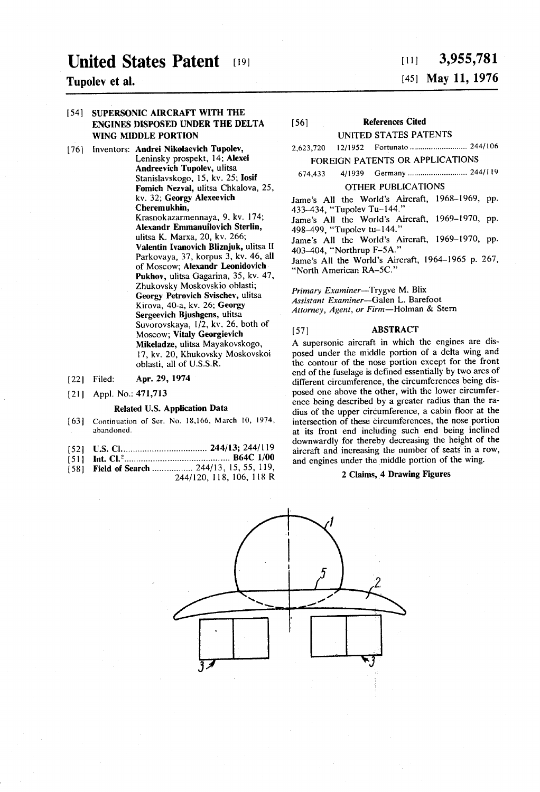# United States Patent (19)

Tupolev et al.

#### 54) SUPERSONIC AIRCRAFT WITH THE ENGINES DISPOSED UNDER THE DELTA WING MDDLE PORTION

- [76] Inventors: Andrei Nikolaevich Tupolev, Leninsky prospekt, 14; Alexei Andreevich Tupolev, ulitsa Stanislavskogo, 15, kv. 25; Iosif Fomich Nezval, ulitsa Chkalova, 25, kv. 32; Georgy Alexeevich Cheremukhin, Krasnokazarmennaya, 9, kv. 174; Alexandr Emmanuilovich Sterlin, ulitsa K. Marxa, 20, kv. 266; Valentin Ivanovich Bliznjuk, ulitsa II Parkovaya, 37, korpus 3, kv. 46, all of Moscow; Alexandr Leonidovich Pukhov, ulitsa Gagarina, 35, kv. 47, Zhukovsky Moskovskio oblasti; Georgy Petrovich Svischev, ulitsa<br>Kirova, 40-a, kv. 26; Georgy Sergeevich Bjushgens, ulitsa Suvorovskaya, 1/2, kv. 26, both of<br>Moscow; Vitaly Georgievich Mikeladze, ulitsa Mayakovskogo, 17, kv. 20, Khukovsky Moskovskoi oblasti, all of U.S.S.R.
- [22] Filed: Apr. 29, 1974
- 21 | Appl. No.: 471,713

#### Related U.S. Application Data

- $[63]$ Continuation of Ser. No. 18,166, March 10, 1974, abandoned.
- $1521$ U.S. Cl.................................... 244/13; 244/119
- 51 Int. Cl............................................. B64C 1/00
- 58 Field of Search ................... 244/15, 15, 55, 119, 168 244/120, 118, 106, 118 R

## $[11]$  3,955,781 (45) May 11, 1976

## (56) References Cited

UNITED STATES PATENTS

2,623,720 12/1952 Fortunato.............................. 244/106

### FOREIGN PATENTS OR APPLICATIONS

674,433 4/1939 Germany............................ 2441 19

#### OTHER PUBLICATIONS

Jame's All the World's Aircraft, 1968-1969, pp. 433-434, "Tupolev Tu-144.' Jame's All the World's Aircraft, 1969-1970, pp. 498-499, "Tupolev tu-144.' Jame's All the World's Aircraft, 1969-1970, pp. 403-404, "Northrup F-5A." Jame's All the World's Aircraft, 1964-1965 p. 267, "North American RA-5C.'

Primary Examiner-Trygve M. Blix Assistant Examiner-Galen L. Barefoot Attorney, Agent, or Firm-Holman & Stern

#### [57] **ABSTRACT**

A supersonic aircraft in which the engines are dis posed under the middle portion of a delta wing and the contour of the nose portion except for the front end of the fuselage is defined essentially by two arcs of different circumference, the circumferences being dis posed one above the other, with the lower circumfer ence being described by a greater radius than the ra dius of the upper circumference, a cabin floor at the intersection of these circumferences, the nose portion at its front end including such end being inclined downwardly for thereby decreasing the height of the aircraft and increasing the number of seats in a row, and engines under the middle portion of the wing.

#### 2 Claims, 4 Drawing Figures

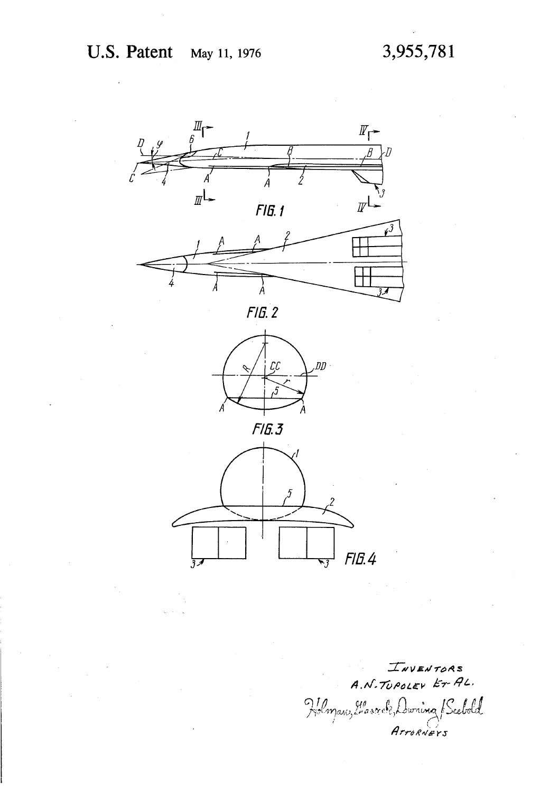

INVENTORS A.N. TUPOLEV ET AL. Holman, Lassock, Duning Scebold Arrogners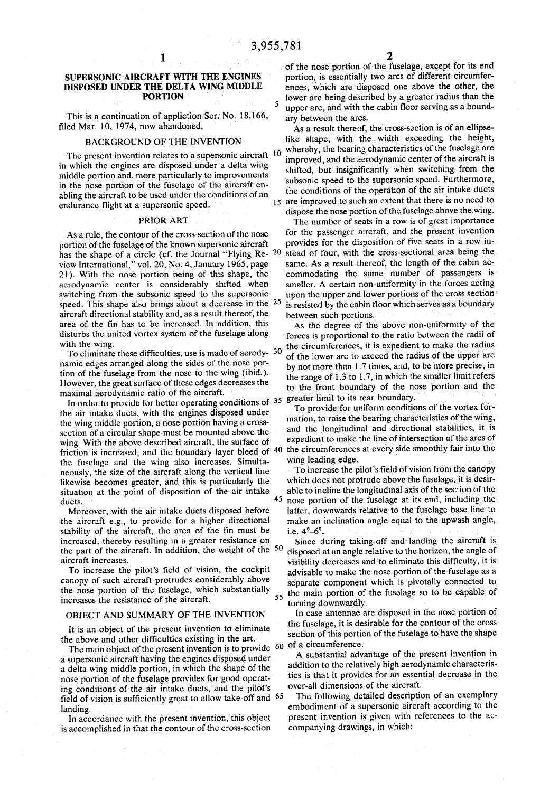5

#### **SUPERSONIC AIRCRAFT WITH THE ENGINES** DISPOSED UNDER THE DELTA WING MIDDLE **PORTION**

This is a continuation of appliction Ser. No. 18,166, filed Mar. 10, 1974, now abandoned.

#### **BACKGROUND OF THE INVENTION**

The present invention relates to a supersonic aircraft 10 in which the engines are disposed under a delta wing middle portion and, more particularly to improvements in the nose portion of the fuselage of the aircraft enabling the aircraft to be used under the conditions of an endurance flight at a supersonic speed.

#### PRIOR ART

As a rule, the contour of the cross-section of the nose portion of the fuselage of the known supersonic aircraft has the shape of a circle (cf. the Journal "Flying Re--20 view International," vol. 20, No. 4, January 1965, page 21). With the nose portion being of this shape, the aerodynamic center is considerably shifted when switching from the subsonic speed to the supersonic speed. This shape also brings about a decrease in the 25 aircraft directional stability and, as a result thereof, the area of the fin has to be increased. In addition, this disturbs the united vortex system of the fuselage along with the wing.

To eliminate these difficulties, use is made of aerody- 30 namic edges arranged along the sides of the nose portion of the fuselage from the nose to the wing (ibid.). However, the great surface of these edges decreases the maximal aerodynamic ratio of the aircraft.

In order to provide for better operating conditions of 35 the air intake ducts, with the engines disposed under the wing middle portion, a nose portion having a crosssection of a circular shape must be mounted above the wing. With the above described aircraft, the surface of friction is increased, and the boundary layer bleed of  $40$ the fuselage and the wing also increases. Simultaneously, the size of the aircraft along the vertical line likewise becomes greater, and this is particularly the situation at the point of disposition of the air intake 45 ducts.

Moreover, with the air intake ducts disposed before the aircraft e.g., to provide for a higher directional stability of the aircraft, the area of the fin must be increased, thereby resulting in a greater resistance on the part of the aircraft. In addition, the weight of the 50 aircraft increases.

To increase the pilot's field of vision, the cockpit canopy of such aircraft protrudes considerably above the nose portion of the fuselage, which substantially increases the resistance of the aircraft.

#### OBJECT AND SUMMARY OF THE INVENTION

It is an object of the present invention to eliminate the above and other difficulties existing in the art.

The main object of the present invention is to provide  $60$ a supersonic aircraft having the engines disposed under a delta wing middle portion, in which the shape of the nose portion of the fuselage provides for good operating conditions of the air intake ducts, and the pilot's field of vision is sufficiently great to allow take-off and 65 landing.

In accordance with the present invention, this object is accomplished in that the contour of the cross-section of the nose portion of the fuselage, except for its end portion, is essentially two arcs of different circumferences, which are disposed one above the other, the lower arc being described by a greater radius than the upper arc, and with the cabin floor serving as a boundary between the arcs.

As a result thereof, the cross-section is of an ellipselike shape, with the width exceeding the height, whereby, the bearing characteristics of the fuselage are improved, and the aerodynamic center of the aircraft is shifted, but insignificantly when switching from the subsonic speed to the supersonic speed. Furthermore, the conditions of the operation of the air intake ducts 15 are improved to such an extent that there is no need to dispose the nose portion of the fuselage above the wing.

The number of seats in a row is of great importance for the passenger aircraft, and the present invention provides for the disposition of five seats in a row instead of four, with the cross-sectional area being the same. As a result thereof, the length of the cabin accommodating the same number of passangers is smaller. A certain non-uniformity in the forces acting upon the upper and lower portions of the cross section is resisted by the cabin floor which serves as a boundary between such portions.

As the degree of the above non-uniformity of the forces is proportional to the ratio between the radii of the circumferences, it is expedient to make the radius of the lower arc to exceed the radius of the upper arc by not more than 1.7 times, and, to be more precise, in the range of 1.3 to 1.7, in which the smaller limit refers to the front boundary of the nose portion and the greater limit to its rear boundary.

To provide for uniform conditions of the vortex formation, to raise the bearing characteristics of the wing, and the longitudinal and directional stabilities, it is expedient to make the line of intersection of the arcs of the circumferences at every side smoothly fair into the wing leading edge.

To increase the pilot's field of vision from the canopy which does not protrude above the fuselage, it is desirable to incline the longitudinal axis of the section of the nose portion of the fuselage at its end, including the latter, downwards relative to the fuselage base line to make an inclination angle equal to the upwash angle, i.e.  $4^{\circ} - 6^{\circ}$ .

Since during taking-off and landing the aircraft is disposed at an angle relative to the horizon, the angle of visibility decreases and to eliminate this difficulty, it is advisable to make the nose portion of the fusclage as a separate component which is pivotally connected to the main portion of the fuselage so to be capable of  $55$ turning downwardly.

In case antennae are disposed in the nose portion of the fuselage, it is desirable for the contour of the cross section of this portion of the fuselage to have the shape of a circumference.

A substantial advantage of the present invention in addition to the relatively high aerodynamic characteristics is that it provides for an essential decrease in the over-all dimensions of the aircraft.

The following detailed description of an exemplary embodiment of a supersonic aircraft according to the present invention is given with references to the accompanying drawings, in which: